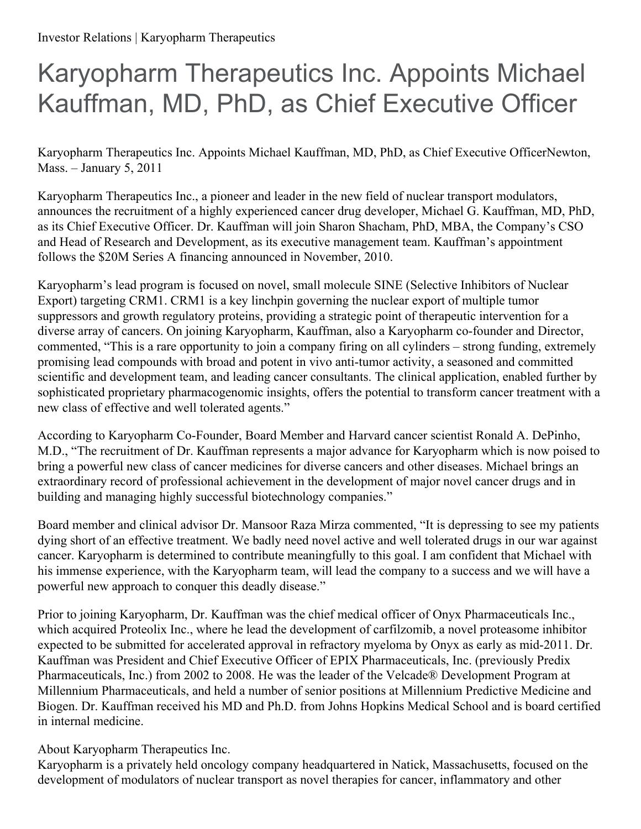## Karyopharm Therapeutics Inc. Appoints Michael Kauffman, MD, PhD, as Chief Executive Officer

Karyopharm Therapeutics Inc. Appoints Michael Kauffman, MD, PhD, as Chief Executive OfficerNewton, Mass. – January 5, 2011

Karyopharm Therapeutics Inc., a pioneer and leader in the new field of nuclear transport modulators, announces the recruitment of a highly experienced cancer drug developer, Michael G. Kauffman, MD, PhD, as its Chief Executive Officer. Dr. Kauffman will join Sharon Shacham, PhD, MBA, the Company's CSO and Head of Research and Development, as its executive management team. Kauffman's appointment follows the \$20M Series A financing announced in November, 2010.

Karyopharm's lead program is focused on novel, small molecule SINE (Selective Inhibitors of Nuclear Export) targeting CRM1. CRM1 is a key linchpin governing the nuclear export of multiple tumor suppressors and growth regulatory proteins, providing a strategic point of therapeutic intervention for a diverse array of cancers. On joining Karyopharm, Kauffman, also a Karyopharm co-founder and Director, commented, "This is a rare opportunity to join a company firing on all cylinders – strong funding, extremely promising lead compounds with broad and potent in vivo anti-tumor activity, a seasoned and committed scientific and development team, and leading cancer consultants. The clinical application, enabled further by sophisticated proprietary pharmacogenomic insights, offers the potential to transform cancer treatment with a new class of effective and well tolerated agents."

According to Karyopharm Co-Founder, Board Member and Harvard cancer scientist Ronald A. DePinho, M.D., "The recruitment of Dr. Kauffman represents a major advance for Karyopharm which is now poised to bring a powerful new class of cancer medicines for diverse cancers and other diseases. Michael brings an extraordinary record of professional achievement in the development of major novel cancer drugs and in building and managing highly successful biotechnology companies."

Board member and clinical advisor Dr. Mansoor Raza Mirza commented, "It is depressing to see my patients dying short of an effective treatment. We badly need novel active and well tolerated drugs in our war against cancer. Karyopharm is determined to contribute meaningfully to this goal. I am confident that Michael with his immense experience, with the Karyopharm team, will lead the company to a success and we will have a powerful new approach to conquer this deadly disease."

Prior to joining Karyopharm, Dr. Kauffman was the chief medical officer of Onyx Pharmaceuticals Inc., which acquired Proteolix Inc., where he lead the development of carfilzomib, a novel proteasome inhibitor expected to be submitted for accelerated approval in refractory myeloma by Onyx as early as mid-2011. Dr. Kauffman was President and Chief Executive Officer of EPIX Pharmaceuticals, Inc. (previously Predix Pharmaceuticals, Inc.) from 2002 to 2008. He was the leader of the Velcade® Development Program at Millennium Pharmaceuticals, and held a number of senior positions at Millennium Predictive Medicine and Biogen. Dr. Kauffman received his MD and Ph.D. from Johns Hopkins Medical School and is board certified in internal medicine.

About Karyopharm Therapeutics Inc.

Karyopharm is a privately held oncology company headquartered in Natick, Massachusetts, focused on the development of modulators of nuclear transport as novel therapies for cancer, inflammatory and other